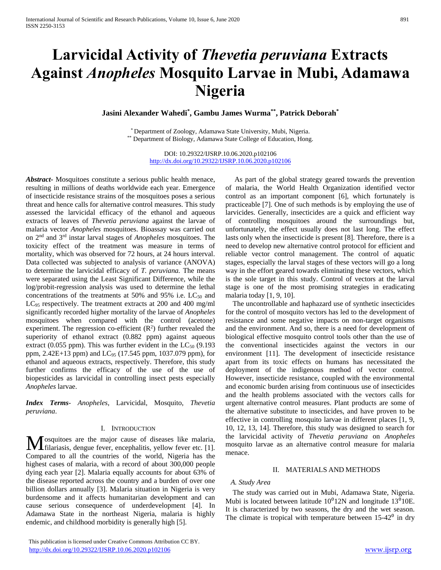# **Larvicidal Activity of** *Thevetia peruviana* **Extracts Against** *Anopheles* **Mosquito Larvae in Mubi, Adamawa Nigeria**

**Jasini Alexander Wahedi\* , Gambu James Wurma\*\* , Patrick Deborah\***

\* Department of Zoology, Adamawa State University, Mubi, Nigeria. \*\* Department of Biology, Adamawa State College of Education, Hong.

> DOI: 10.29322/IJSRP.10.06.2020.p102106 <http://dx.doi.org/10.29322/IJSRP.10.06.2020.p102106>

*Abstract***-** Mosquitoes constitute a serious public health menace, resulting in millions of deaths worldwide each year. Emergence of insecticide resistance strains of the mosquitoes poses a serious threat and hence calls for alternative control measures. This study assessed the larvicidal efficacy of the ethanol and aqueous extracts of leaves of *Thevetia peruviana* against the larvae of malaria vector *Anopheles* mosquitoes. Bioassay was carried out on 2nd and 3rd instar larval stages of *Anopheles* mosquitoes. The toxicity effect of the treatment was measure in terms of mortality, which was observed for 72 hours, at 24 hours interval. Data collected was subjected to analysis of variance (ANOVA) to determine the larvicidal efficacy of *T. peruviana.* The means were separated using the Least Significant Difference, while the log/probit-regression analysis was used to determine the lethal concentrations of the treatments at 50% and 95% i.e.  $LC_{50}$  and LC<sub>95</sub> respectively. The treatment extracts at 200 and 400 mg/ml significantly recorded higher mortality of the larvae of *Anopheles* mosquitoes when compared with the control (acetone) experiment. The regression co-efficient  $(R<sup>2</sup>)$  further revealed the superiority of ethanol extract (0.882 ppm) against aqueous extract (0.055 ppm). This was further evident in the  $LC_{50}$  (9.193 ppm, 2.42E+13 ppm) and  $LC_{95}$  (17.545 ppm, 1037.079 ppm), for ethanol and aqueous extracts, respectively. Therefore, this study further confirms the efficacy of the use of the use of biopesticides as larvicidal in controlling insect pests especially *Anopheles* larvae.

*Index Terms*- *Anopheles*, Larvicidal, Mosquito, *Thevetia peruviana*.

#### I. INTRODUCTION

osquitoes are the major cause of diseases like malaria, filariasis, dengue fever, encephalitis, yellow fever etc. [1]. Compared to all the countries of the world, Nigeria has the highest cases of malaria, with a record of about 300,000 people dying each year [2]. Malaria equally accounts for about 63% of the disease reported across the country and a burden of over one billion dollars annually [3]. Malaria situation in Nigeria is very burdensome and it affects humanitarian development and can cause serious consequence of underdevelopment [4]. In Adamawa State in the northeast Nigeria, malaria is highly endemic, and childhood morbidity is generally high [5]. M

 This publication is licensed under Creative Commons Attribution CC BY. <http://dx.doi.org/10.29322/IJSRP.10.06.2020.p102106> [www.ijsrp.org](http://ijsrp.org/)

 As part of the global strategy geared towards the prevention of malaria, the World Health Organization identified vector control as an important component [6], which fortunately is practiceable [7]. One of such methods is by employing the use of larvicides. Generally, insecticides are a quick and efficient way of controlling mosquitoes around the surroundings but, unfortunately, the effect usually does not last long. The effect lasts only when the insecticide is present [8]. Therefore, there is a need to develop new alternative control protocol for efficient and reliable vector control management. The control of aquatic stages, especially the larval stages of these vectors will go a long way in the effort geared towards eliminating these vectors, which is the sole target in this study. Control of vectors at the larval stage is one of the most promising strategies in eradicating malaria today [1, 9, 10].

 The uncontrollable and haphazard use of synthetic insecticides for the control of mosquito vectors has led to the development of resistance and some negative impacts on non-target organisms and the environment. And so, there is a need for development of biological effective mosquito control tools other than the use of the conventional insecticides against the vectors in our environment [11]. The development of insecticide resistance apart from its toxic effects on humans has necessitated the deployment of the indigenous method of vector control. However, insecticide resistance, coupled with the environmental and economic burden arising from continuous use of insecticides and the health problems associated with the vectors calls for urgent alternative control measures. Plant products are some of the alternative substitute to insecticides, and have proven to be effective in controlling mosquito larvae in different places [1, 9, 10, 12, 13, 14]. Therefore, this study was designed to search for the larvicidal activity of *Thevetia peruviana* on *Anopheles* mosquito larvae as an alternative control measure for malaria menace.

#### II. MATERIALS AND METHODS

## *A. Study Area*

 The study was carried out in Mubi, Adamawa State, Nigeria. Mubi is located between latitude  $10^012N$  and longitude 13<sup>0</sup>10E. It is characterized by two seasons, the dry and the wet season. The climate is tropical with temperature between  $15-42^0$  in dry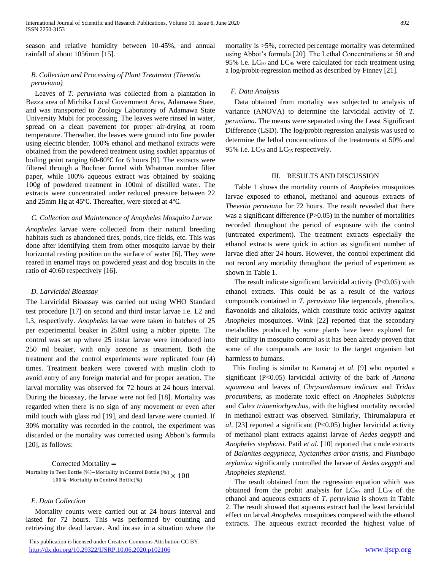season and relative humidity between 10-45%, and annual rainfall of about 1056mm [15].

## *B. Collection and Processing of Plant Treatment (Thevetia peruviana)*

 Leaves of *T. peruviana* was collected from a plantation in Bazza area of Michika Local Government Area, Adamawa State, and was transported to Zoology Laboratory of Adamawa State University Mubi for processing. The leaves were rinsed in water, spread on a clean pavement for proper air-drying at room temperature. Thereafter, the leaves were ground into fine powder using electric blender. 100% ethanol and methanol extracts were obtained from the powdered treatment using soxhlet apparatus of boiling point ranging 60-80℃ for 6 hours [9]. The extracts were filtered through a Buchner funnel with Whatman number filter paper, while 100% aqueous extract was obtained by soaking 100g of powdered treatment in 100ml of distilled water. The extracts were concentrated under reduced pressure between 22 and 25mm Hg at 45℃. Thereafter, were stored at 4℃.

#### *C. Collection and Maintenance of Anopheles Mosquito Larvae*

*Anopheles* larvae were collected from their natural breeding habitats such as abandoned tires, ponds, rice fields, etc. This was done after identifying them from other mosquito larvae by their horizontal resting position on the surface of water [6]. They were reared in enamel trays on powdered yeast and dog biscuits in the ratio of 40:60 respectively [16].

#### *D. Larvicidal Bioassay*

The Larvicidal Bioassay was carried out using WHO Standard test procedure [17] on second and third instar larvae i.e. L2 and L3, respectively. *Anopheles* larvae were taken in batches of 25 per experimental beaker in 250ml using a rubber pipette. The control was set up where 25 instar larvae were introduced into 250 ml beaker, with only acetone as treatment. Both the treatment and the control experiments were replicated four (4) times. Treatment beakers were covered with muslin cloth to avoid entry of any foreign material and for proper aeration. The larval mortality was observed for 72 hours at 24 hours interval. During the bioassay, the larvae were not fed [18]. Mortality was regarded when there is no sign of any movement or even after mild touch with glass rod [19], and dead larvae were counted. If 30% mortality was recorded in the control, the experiment was discarded or the mortality was corrected using Abbott's formula [20], as follows:

Corrected Mortality = Mortality in Test Bottle (%)−Mortality in Control Bottle (%)<br>100 Alexander State (%) × 100 100%−Mortality in Control Bottle(%)

#### *E. Data Collection*

 Mortality counts were carried out at 24 hours interval and lasted for 72 hours. This was performed by counting and retrieving the dead larvae. And incase in a situation where the

 This publication is licensed under Creative Commons Attribution CC BY. <http://dx.doi.org/10.29322/IJSRP.10.06.2020.p102106> [www.ijsrp.org](http://ijsrp.org/)

mortality is >5%, corrected percentage mortality was determined using Abbot's formula [20]. The Lethal Concentrations at 50 and 95% i.e.  $LC_{50}$  and  $LC_{95}$  were calculated for each treatment using

#### *F. Data Analysis*

 Data obtained from mortality was subjected to analysis of variance (ANOVA) to determine the larvicidal activity of *T. peruviana.* The means were separated using the Least Significant Difference (LSD). The log/probit-regression analysis was used to determine the lethal concentrations of the treatments at 50% and 95% i.e.  $LC_{50}$  and  $LC_{95}$  respectively.

a log/probit-regression method as described by Finney [21].

### III. RESULTS AND DISCUSSION

 Table 1 shows the mortality counts of *Anopheles* mosquitoes larvae exposed to ethanol, methanol and aqueous extracts of *Thevetia peruviana* for 72 hours. The result revealed that there was a significant difference  $(P>0.05)$  in the number of mortalities recorded throughout the period of exposure with the control (untreated experiment). The treatment extracts especially the ethanol extracts were quick in action as significant number of larvae died after 24 hours. However, the control experiment did not record any mortality throughout the period of experiment as shown in Table 1.

The result indicate significant larvicidal activity  $(P<0.05)$  with ethanol extracts. This could be as a result of the various compounds contained in *T. peruviana* like terpenoids, phenolics, flavonoids and alkaloids, which constitute toxic activity against *Anopheles* mosquitoes. Wink [22] reported that the secondary metabolites produced by some plants have been explored for their utility in mosquito control as it has been already proven that some of the compounds are toxic to the target organism but harmless to humans.

 This finding is similar to Kamaraj *et al*. [9] who reported a significant (P<0.05) larvicidal activity of the bark of *Annona squamosa* and leaves of *Chrysanthemum indicum* and *Tridax procumbens,* as moderate toxic effect on *Anopheles Subpictus* and *Culex tritaeniorhynchus,* with the highest mortality recorded in methanol extract was observed. Similarly, Thirumalapura *et al*. [23] reported a significant (P<0.05) higher larvicidal activity of methanol plant extracts against larvae of *Aedes aegypti* and *Anopheles stephensi.* Patil *et al*. [10] reported that crude extracts of *Balanites aegyptiaca*, *Nyctanthes arbor tristis*, and *Plumbago zeylanica* significantly controlled the larvae of *Aedes aegypti* and *Anopheles stephensi*.

 The result obtained from the regression equation which was obtained from the probit analysis for  $LC_{50}$  and  $LC_{95}$  of the ethanol and aqueous extracts of *T. peruviana* is shown in Table 2. The result showed that aqueous extract had the least larvicidal effect on larval *Anopheles* mosquitoes compared with the ethanol extracts. The aqueous extract recorded the highest value of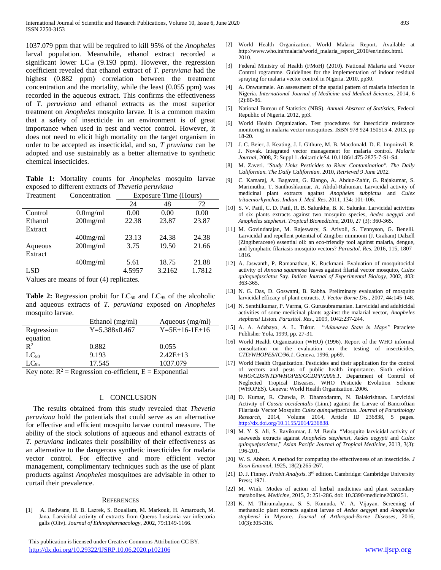1037.079 ppm that will be required to kill 95% of the *Anopheles* larval population. Meanwhile, ethanol extract recorded a significant lower  $LC_{50}$  (9.193 ppm). However, the regression coefficient revealed that ethanol extract of *T. peruviana* had the highest (0.882 ppm) correlation between the treatment concentration and the mortality, while the least (0.055 ppm) was recorded in the aqueous extract. This confirms the effectiveness of *T. peruviana* and ethanol extracts as the most superior treatment on *Anopheles* mosquito larvae. It is a common maxim that a safety of insecticide in an environment is of great importance when used in pest and vector control. However, it does not need to elicit high mortality on the target organism in order to be accepted as insecticidal, and so, *T pruviana* can be adopted and use sustainably as a better alternative to synthetic chemical insecticides.

**Table 1:** Mortality counts for *Anopheles* mosquito larvae exposed to different extracts of *Thevetia peruviana*

| Treatment | Concentration | Exposure Time (Hours) |        |        |
|-----------|---------------|-----------------------|--------|--------|
|           |               | 24                    | 48     | 72     |
| Control   | $0.0$ mg/ml   | 0.00                  | 0.00   | 0.00   |
| Ethanol   | $200$ mg/ml   | 22.38                 | 23.87  | 23.87  |
| Extract   |               |                       |        |        |
|           | $400$ mg/ml   | 23.13                 | 24.38  | 24.38  |
| Aqueous   | $200$ mg/ml   | 3.75                  | 19.50  | 21.66  |
| Extract   |               |                       |        |        |
|           | $400$ mg/ml   | 5.61                  | 18.75  | 21.88  |
| LSD       |               | 4.5957                | 3.2162 | 1.7812 |
|           |               |                       |        |        |

Values are means of four (4) replicates.

Table 2: Regression probit for LC<sub>50</sub> and LC<sub>95</sub> of the alcoholic and aqueous extracts of *T. peruviana* exposed on *Anopheles* mosquito larvae.

|                           | Ethanol (mg/ml)                                                                                                                                                                                                                                                                                                                    | Aqueous (mg/ml)         |
|---------------------------|------------------------------------------------------------------------------------------------------------------------------------------------------------------------------------------------------------------------------------------------------------------------------------------------------------------------------------|-------------------------|
| Regression                | $Y = 5.388x0.467$                                                                                                                                                                                                                                                                                                                  | $Y = 5E + 16 - 1E + 16$ |
| equation                  |                                                                                                                                                                                                                                                                                                                                    |                         |
| $\mathbb{R}^2$            | 0.882                                                                                                                                                                                                                                                                                                                              | 0.055                   |
| $LC_{50}$                 | 9.193                                                                                                                                                                                                                                                                                                                              | $2.42E+13$              |
| $LC_{95}$                 | 17.545                                                                                                                                                                                                                                                                                                                             | 1037.079                |
| $\mathbf{r}$ $\mathbf{r}$ | $\mathbb{R}$ $\mathbb{R}$ $\mathbb{R}$ $\mathbb{R}$ $\mathbb{R}$ $\mathbb{R}$ $\mathbb{R}$ $\mathbb{R}$ $\mathbb{R}$ $\mathbb{R}$ $\mathbb{R}$ $\mathbb{R}$ $\mathbb{R}$ $\mathbb{R}$ $\mathbb{R}$ $\mathbb{R}$ $\mathbb{R}$ $\mathbb{R}$ $\mathbb{R}$ $\mathbb{R}$ $\mathbb{R}$ $\mathbb{R}$ $\mathbb{R}$ $\mathbb{R}$ $\mathbb{$ |                         |

Key note:  $R^2$  = Regression co-efficient, E = Exponential

#### I. CONCLUSION

The results obtained from this study revealed that *Thevetia peruviana* hold the potentials that could serve as an alternative for effective and efficient mosquito larvae control measure. The ability of the stock solutions of aqueous and ethanol extracts of *T. peruviana* indicates their possibility of their effectiveness as an alternative to the dangerous synthetic insecticides for malaria vector control. For effective and more efficient vector management, complimentary techniques such as the use of plant products against *Anopheles* mosquitoes are advisable in other to curtail their prevalence.

#### **REFERENCES**

[1] A. Redwane, H. B. Lazrek, S. Bouallam, M. Markouk, H. Amarouch, M. Jana. Larvicidal activity of extracts from Querus Lusitania var infectoria galls (Oliv). *Journal of Ethnopharmacology*, 2002, 79:1149-1166.

 This publication is licensed under Creative Commons Attribution CC BY. <http://dx.doi.org/10.29322/IJSRP.10.06.2020.p102106> [www.ijsrp.org](http://ijsrp.org/)

- [2] World Health Organization. World Malaria Report. Available at http://www.who.int/malaria/world\_malaria\_report\_2010/en/index.html. 2010.
- [3] Federal Ministry of Health (FMoH) (2010). National Malaria and Vector Control rogramme. Guidelines for the implementation of indoor residual spraying for malaria vector control in Nigeria. 2010, pp30.
- [4] A. Onwuemele. An assessment of the spatial pattern of malaria infection in Nigeria. *International Journal of Medicine and Medical Sciences*, 2014, 6 (2):80-86.
- [5] National Bureau of Statistics (NBS). *Annual Abstract of Statistics*, Federal Republic of Nigeria. 2012, pp3.
- [6] World Health Organization. Test procedures for insecticide resistance monitoring in malaria vector mosquitoes. ISBN 978 924 150515 4. 2013, pp 18-20.
- [7] J. C. Beier, J. Keating, J. I. Githure, M. B. Macdonald, D. E. Impoinvil, R. J. Novak. Integrated vector management for malaria control. *Malaria Journal*, 2008, **7**: Suppl 1. doi:articleS4 10.1186/1475-2875-7-S1-S4.
- [8] M. Zaveri*. "Study Links Pesticides to River Contamination". The Daily Californian. The Daily Californian.* 2010, *Retrieved 9 June 2012.*
- [9] C. Kamaraj, A. Bagavan, G. Elango, A. Abduz-Zahir, G. Rajakumar, S. Marimuthu, T. Santhoshkumar, A. Abdul-Rahuman. Larvicidal activity of medicinal plant extracts against *Anopheles subpictus* and *Culex tritaeniorhynchus*. *Indian J. Med. Res*. 2011, 134: 101-106.
- [10] S. V. Patil, C. D. Patil, R. B. Salunkhe, B. K. Salunke. Larvicidal activities of six plants extracts against two mosquito species, *Aedes aegypti* and *Anopheles stephensi*. *Tropical Biomedicine*, 2010, 27 (3): 360-365.
- [11] M. Govindarajan, M. Rajeswary, S. Arivoli, S. Tennyson, G. Benelli. Larvicidal and repellent potential of Zingiber nimmonii (J. Graham) Dalzell (Zingiberaceae) essential oil: an eco-friendly tool against malaria, dengue, and lymphatic filariasis mosquito vectors? *Parasitol. Res.* 2016, 115, 1807– 1816.
- [12] A. Jaswanth, P. Ramanathan, K. Ruckmani. Evaluation of mosquitocidal activity of *Annona squamosa* leaves against filarial vector mosquito, *Culex quinquefasciatus* Say. *Indian Journal of Experimental Biology*, 2002, 403: 363-365.
- [13] N. G. Das, D. Goswami, B. Rabha. Preliminary evaluation of mosquito larvicidal efficacy of plant extracts. *J. Vector Borne Dis*., 2007, 44:145-148.
- [14] N. Senthilkumar, P. Varma, G. Gurusubramanian. Larvicidal and adulticidal activities of some medicinal plants against the malarial vector, *Anopheles stephensi* Liston. *Parasitol. Res*., 2009, 1042:237-244.
- [15] A. A. Adebayo, A. L. Tukur. "*Adamawa State in Maps"* Paraclete Publisher Yola, 1999, pp. 27-31.
- [16] World Health Organization (WHO) (1996). Report of the WHO informal consultation on the evaluation on the testing of insecticides, *CTD/WHOPES/IC/96.1*. Geneva. 1996, pp69.
- [17] World Health Organization. Pesticides and their application for the control of vectors and pests of public health importance. Sixth edition. *WHO/CDS/NTD/WHOPES/GCDPP/2006.1*. Department of Control of Neglected Tropical Diseases, WHO Pesticide Evolution Scheme (WHOPES). Geneva: World Health Organization. 2006.
- [18] D. Kumar, R. Chawla, P. Dhamodaram, N. Balakrishnan. Larvicidal Activity of *Cassia occidentalis* (Linn.) against the Larvae of Bancroftian Filariasis Vector Mosquito *Culex quinquefasciatus. Journal of Parasitology Research,* 2014, Volume 2014, Article ID 236838, 5 pages. [http://dx.doi.org/10.1155/2014/236838.](http://dx.doi.org/10.1155/2014/236838)
- [19] M. Y. S. Ali, S. Ravikumar, J. M. Beula. "Mosquito larvicidal activity of seaweeds extracts against *Anopheles stephensi*, *Aedes aegypti* and *Culex quinquefasciatus*," *Asian Pacific Journal of Tropical Medicine*, 2013, 3(3): 196-201.
- [20] W. S. Abbott. A method for computing the effectiveness of an insecticide. *J Econ Entomol*, 1925, 18(2):265-267.
- [21] D. J. Finney. *Probit Analysis*. 3rd edition. Cambridge: Cambridge University Press; 1971.
- [22] M. Wink. Modes of action of herbal medicines and plant secondary metabolites. *Medicine,* 2015, 2: 251-286. doi: 10.3390/medicine2030251.
- [23] K. M. Thirumalapura, S. S. Kumuda, V. A. Vijayan. Screening of methanolic plant extracts against larvae of *Aedes aegypti* and *Anopheles stephensi* in Mysore. *Journal of Arthropod-Borne Diseases,* 2016, 10(3):305-316.